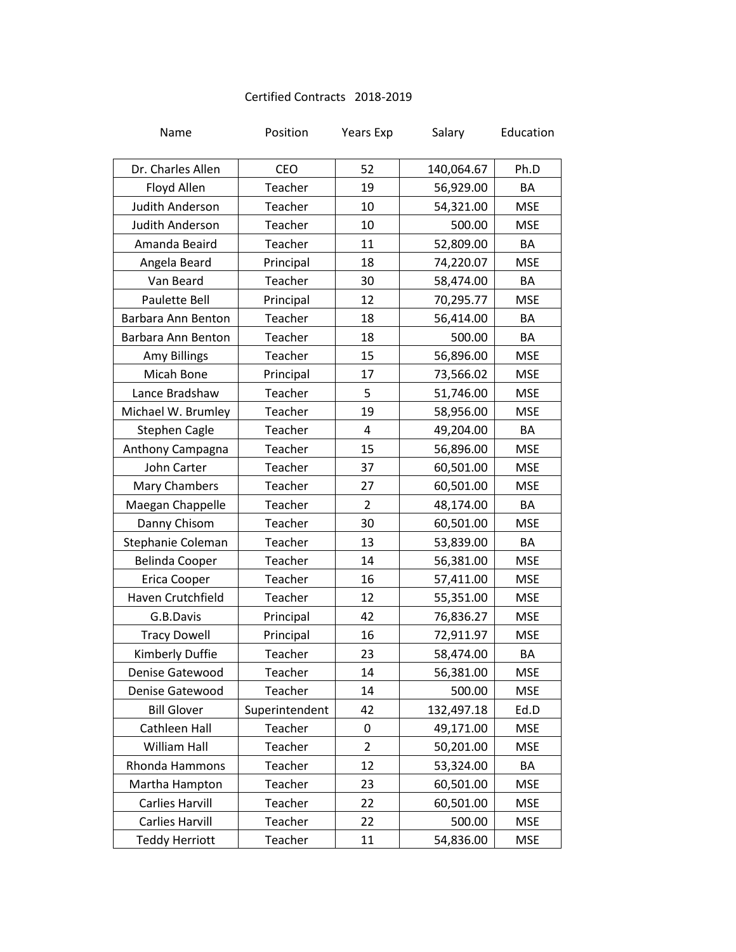## Certified Contracts 2018-2019

| Name                   | Position       | <b>Years Exp</b> | Salary     | Education  |
|------------------------|----------------|------------------|------------|------------|
| Dr. Charles Allen      | CEO            | 52               | 140,064.67 | Ph.D       |
| Floyd Allen            | Teacher        | 19               | 56,929.00  | BA         |
| <b>Judith Anderson</b> | Teacher        | 10               | 54,321.00  | <b>MSE</b> |
| Judith Anderson        | Teacher        | 10               | 500.00     | <b>MSE</b> |
| Amanda Beaird          | Teacher        | 11               | 52,809.00  | BA         |
| Angela Beard           | Principal      | 18               | 74,220.07  | <b>MSE</b> |
| Van Beard              | Teacher        | 30               | 58,474.00  | BA         |
| <b>Paulette Bell</b>   | Principal      | 12               | 70,295.77  | <b>MSE</b> |
| Barbara Ann Benton     | Teacher        | 18               | 56,414.00  | BA         |
| Barbara Ann Benton     | Teacher        | 18               | 500.00     | BA         |
| <b>Amy Billings</b>    | Teacher        | 15               | 56,896.00  | <b>MSE</b> |
| Micah Bone             | Principal      | 17               | 73,566.02  | <b>MSE</b> |
| Lance Bradshaw         | Teacher        | 5                | 51,746.00  | <b>MSE</b> |
| Michael W. Brumley     | Teacher        | 19               | 58,956.00  | <b>MSE</b> |
| <b>Stephen Cagle</b>   | Teacher        | 4                | 49,204.00  | BA         |
| Anthony Campagna       | Teacher        | 15               | 56,896.00  | <b>MSE</b> |
| John Carter            | Teacher        | 37               | 60,501.00  | <b>MSE</b> |
| Mary Chambers          | Teacher        | 27               | 60,501.00  | <b>MSE</b> |
| Maegan Chappelle       | Teacher        | $\overline{2}$   | 48,174.00  | BA         |
| Danny Chisom           | Teacher        | 30               | 60,501.00  | <b>MSE</b> |
| Stephanie Coleman      | Teacher        | 13               | 53,839.00  | BA         |
| <b>Belinda Cooper</b>  | Teacher        | 14               | 56,381.00  | <b>MSE</b> |
| Erica Cooper           | Teacher        | 16               | 57,411.00  | <b>MSE</b> |
| Haven Crutchfield      | Teacher        | 12               | 55,351.00  | <b>MSE</b> |
| G.B.Davis              | Principal      | 42               | 76,836.27  | <b>MSE</b> |
| <b>Tracy Dowell</b>    | Principal      | 16               | 72,911.97  | <b>MSE</b> |
| Kimberly Duffie        | Teacher        | 23               | 58,474.00  | BA         |
| Denise Gatewood        | Teacher        | 14               | 56,381.00  | <b>MSE</b> |
| Denise Gatewood        | Teacher        | 14               | 500.00     | <b>MSE</b> |
| <b>Bill Glover</b>     | Superintendent | 42               | 132,497.18 | Ed.D       |
| Cathleen Hall          | Teacher        | 0                | 49,171.00  | <b>MSE</b> |
| William Hall           | Teacher        | $\overline{2}$   | 50,201.00  | <b>MSE</b> |
| Rhonda Hammons         | Teacher        | 12               | 53,324.00  | BA         |
| Martha Hampton         | Teacher        | 23               | 60,501.00  | <b>MSE</b> |
| <b>Carlies Harvill</b> | Teacher        | 22               | 60,501.00  | <b>MSE</b> |
| <b>Carlies Harvill</b> | Teacher        | 22               | 500.00     | <b>MSE</b> |
| <b>Teddy Herriott</b>  | Teacher        | 11               | 54,836.00  | <b>MSE</b> |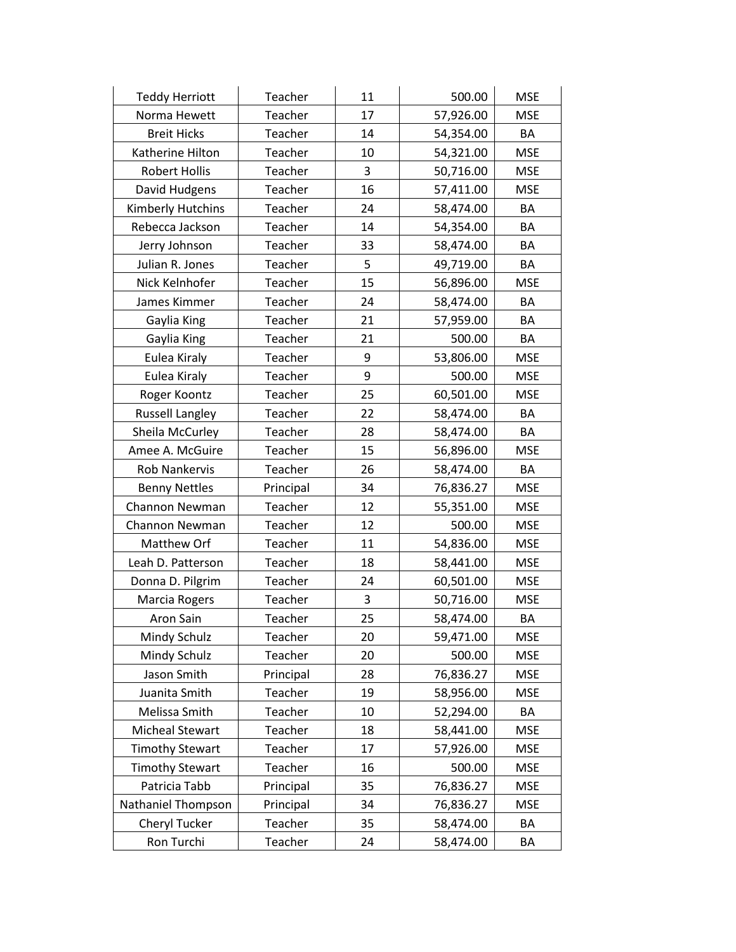| <b>Teddy Herriott</b>     | Teacher   | 11 | 500.00    | <b>MSE</b> |
|---------------------------|-----------|----|-----------|------------|
| Norma Hewett              | Teacher   | 17 | 57,926.00 | <b>MSE</b> |
| <b>Breit Hicks</b>        | Teacher   | 14 | 54,354.00 | BA         |
| Katherine Hilton          | Teacher   | 10 | 54,321.00 | <b>MSE</b> |
| <b>Robert Hollis</b>      | Teacher   | 3  | 50,716.00 | <b>MSE</b> |
| David Hudgens             | Teacher   | 16 | 57,411.00 | <b>MSE</b> |
| Kimberly Hutchins         | Teacher   | 24 | 58,474.00 | BA         |
| Rebecca Jackson           | Teacher   | 14 | 54,354.00 | BA         |
| Jerry Johnson             | Teacher   | 33 | 58,474.00 | BA         |
| Julian R. Jones           | Teacher   | 5  | 49,719.00 | BA         |
| Nick Kelnhofer            | Teacher   | 15 | 56,896.00 | <b>MSE</b> |
| James Kimmer              | Teacher   | 24 | 58,474.00 | BA         |
| Gaylia King               | Teacher   | 21 | 57,959.00 | BA         |
| Gaylia King               | Teacher   | 21 | 500.00    | BA         |
| Eulea Kiraly              | Teacher   | 9  | 53,806.00 | <b>MSE</b> |
| Eulea Kiraly              | Teacher   | 9  | 500.00    | <b>MSE</b> |
| Roger Koontz              | Teacher   | 25 | 60,501.00 | <b>MSE</b> |
| <b>Russell Langley</b>    | Teacher   | 22 | 58,474.00 | BA         |
| Sheila McCurley           | Teacher   | 28 | 58,474.00 | BA         |
| Amee A. McGuire           | Teacher   | 15 | 56,896.00 | <b>MSE</b> |
| <b>Rob Nankervis</b>      | Teacher   | 26 | 58,474.00 | BA         |
| <b>Benny Nettles</b>      | Principal | 34 | 76,836.27 | <b>MSE</b> |
| Channon Newman            | Teacher   | 12 | 55,351.00 | <b>MSE</b> |
| Channon Newman            | Teacher   | 12 | 500.00    | <b>MSE</b> |
| Matthew Orf               | Teacher   | 11 | 54,836.00 | <b>MSE</b> |
| Leah D. Patterson         | Teacher   | 18 | 58,441.00 | <b>MSE</b> |
| Donna D. Pilgrim          | Teacher   | 24 | 60,501.00 | <b>MSE</b> |
| Marcia Rogers             | Teacher   | 3  | 50,716.00 | <b>MSE</b> |
| Aron Sain                 | Teacher   | 25 | 58,474.00 | BA         |
| Mindy Schulz              | Teacher   | 20 | 59,471.00 | <b>MSE</b> |
| Mindy Schulz              | Teacher   | 20 | 500.00    | <b>MSE</b> |
| Jason Smith               | Principal | 28 | 76,836.27 | <b>MSE</b> |
| Juanita Smith             | Teacher   | 19 | 58,956.00 | <b>MSE</b> |
| Melissa Smith             | Teacher   | 10 | 52,294.00 | BA         |
| <b>Micheal Stewart</b>    | Teacher   | 18 | 58,441.00 | <b>MSE</b> |
| <b>Timothy Stewart</b>    | Teacher   | 17 | 57,926.00 | <b>MSE</b> |
| <b>Timothy Stewart</b>    | Teacher   | 16 | 500.00    | <b>MSE</b> |
| Patricia Tabb             | Principal | 35 | 76,836.27 | <b>MSE</b> |
| <b>Nathaniel Thompson</b> | Principal | 34 | 76,836.27 | <b>MSE</b> |
| Cheryl Tucker             | Teacher   | 35 | 58,474.00 | BA         |
| Ron Turchi                | Teacher   | 24 | 58,474.00 | BA         |